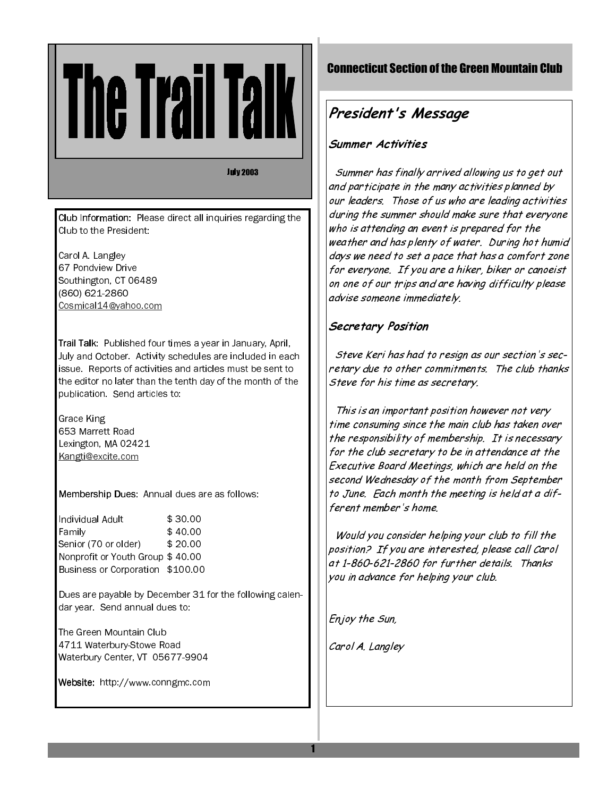**July 2003** 

Club Information: Please direct all inquiries regarding the Club to the President:

Carol A. Langley 67 Pondview Drive Southington, CT 06489 (860) 621-2860 Cosmical14@yahoo.com

Trail Talk: Published four times a year in January, April, July and October. Activity schedules are included in each issue. Reports of activities and articles must be sent to the editor no later than the tenth day of the month of the publication. Send articles to:

Grace King 653 Marrett Road Lexington, MA 02421 Kangti@excite.com

Membership Dues: Annual dues are as follows:

Individual Adult \$30.00 Family \$40.00 Senior (70 or older) \$20.00 Nonprofit or Youth Group \$40.00 Business or Corporation \$100.00

Dues are payable by December 31 for the following calendar year. Send annual dues to:

The Green Mountain Club 4711 Waterbury-Stowe Road Waterbury Center, VT 05677-9904

Website: http://www.conngmc.com

# **Connecticut Section of the Green Mountain Club**

# President's Message

# Summer Activities

Summer has finally arrived allowing us to get out and participate in the many activities planned by our leaders. Those of us who are leading activities during the summer should make sure that everyone who is attending an event is prepared for the weather and has plenty of water. During hot humid days we need to set a pace that has a comfort zone for everyone. If you are a hiker, biker or canoeist on one of our trips and are having difficulty please advise someone immediately.

# Secretary Position

Steve Keri has had to resign as our section's secretary due to other commitments. The club thanks Steve for his time as secretary.

This is an important position however not very time consuming since the main club has taken over the responsibility of membership. It is necessary for the club secretary to be in attendance at the Executive Board Meetings, which are held on the second Wednesday of the month from September to June. Each month the meeting is held at a different member's home.

Would you consider helping your club to fill the position? If you are interested, please call Carol at 1-860-621-2860 for further details. Thanks you in advance for helping your club.

Enjoy the Sun,

Carol A. Langley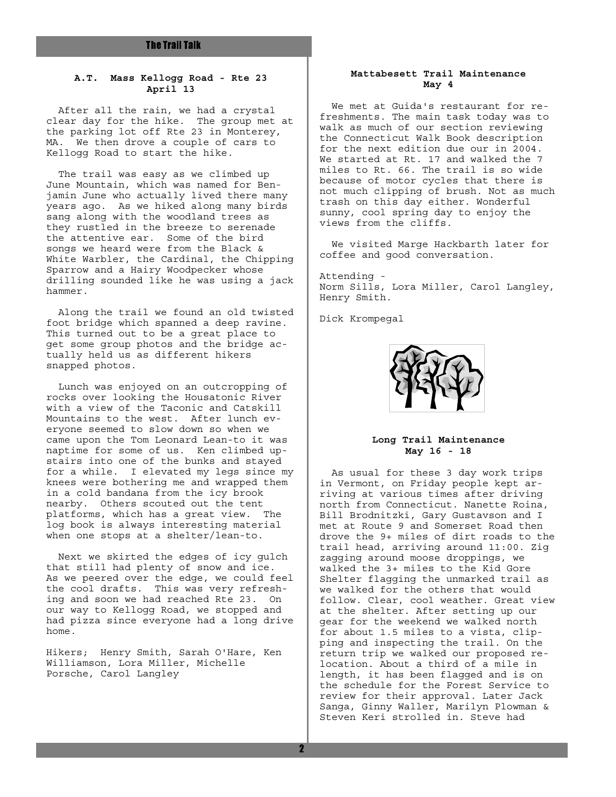### **A.T. Mass Kellogg Road - Rte 23 April 13**

 After all the rain, we had a crystal clear day for the hike. The group met at the parking lot off Rte 23 in Monterey, MA. We then drove a couple of cars to Kellogg Road to start the hike.

 The trail was easy as we climbed up June Mountain, which was named for Benjamin June who actually lived there many years ago. As we hiked along many birds sang along with the woodland trees as they rustled in the breeze to serenade the attentive ear. Some of the bird songs we heard were from the Black & White Warbler, the Cardinal, the Chipping Sparrow and a Hairy Woodpecker whose drilling sounded like he was using a jack hammer.

 Along the trail we found an old twisted foot bridge which spanned a deep ravine. This turned out to be a great place to get some group photos and the bridge actually held us as different hikers snapped photos.

 Lunch was enjoyed on an outcropping of rocks over looking the Housatonic River with a view of the Taconic and Catskill Mountains to the west. After lunch everyone seemed to slow down so when we came upon the Tom Leonard Lean-to it was naptime for some of us. Ken climbed upstairs into one of the bunks and stayed for a while. I elevated my legs since my knees were bothering me and wrapped them in a cold bandana from the icy brook nearby. Others scouted out the tent platforms, which has a great view. The log book is always interesting material when one stops at a shelter/lean-to.

 Next we skirted the edges of icy gulch that still had plenty of snow and ice. As we peered over the edge, we could feel the cool drafts. This was very refreshing and soon we had reached Rte 23. On our way to Kellogg Road, we stopped and had pizza since everyone had a long drive home.

Hikers; Henry Smith, Sarah O'Hare, Ken Williamson, Lora Miller, Michelle Porsche, Carol Langley

### **Mattabesett Trail Maintenance May 4**

 We met at Guida's restaurant for refreshments. The main task today was to walk as much of our section reviewing the Connecticut Walk Book description for the next edition due our in 2004. We started at Rt. 17 and walked the 7 miles to Rt. 66. The trail is so wide because of motor cycles that there is not much clipping of brush. Not as much trash on this day either. Wonderful sunny, cool spring day to enjoy the views from the cliffs.

 We visited Marge Hackbarth later for coffee and good conversation.

Attending - Norm Sills, Lora Miller, Carol Langley, Henry Smith.

Dick Krompegal



### **Long Trail Maintenance May 16 - 18**

 As usual for these 3 day work trips in Vermont, on Friday people kept arriving at various times after driving north from Connecticut. Nanette Roina, Bill Brodnitzki, Gary Gustavson and I met at Route 9 and Somerset Road then drove the 9+ miles of dirt roads to the trail head, arriving around 11:00. Zig zagging around moose droppings, we walked the 3+ miles to the Kid Gore Shelter flagging the unmarked trail as we walked for the others that would follow. Clear, cool weather. Great view at the shelter. After setting up our gear for the weekend we walked north for about 1.5 miles to a vista, clipping and inspecting the trail. On the return trip we walked our proposed relocation. About a third of a mile in length, it has been flagged and is on the schedule for the Forest Service to review for their approval. Later Jack Sanga, Ginny Waller, Marilyn Plowman & Steven Keri strolled in. Steve had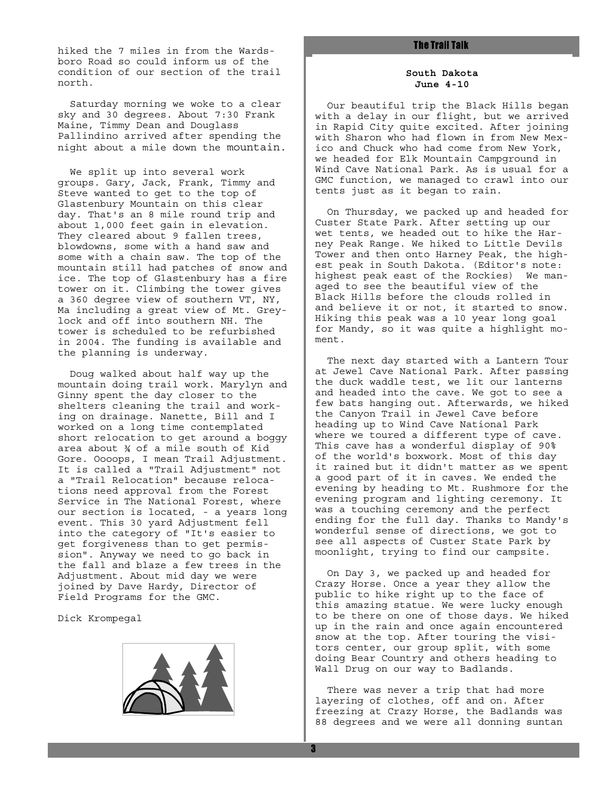hiked the 7 miles in from the Wards-<br>and the 7 miles in from the Wardsboro Road so could inform us of the condition of our section of the trail north.

 Saturday morning we woke to a clear sky and 30 degrees. About 7:30 Frank Maine, Timmy Dean and Douglass Pallindino arrived after spending the night about a mile down the mountain.

 We split up into several work groups. Gary, Jack, Frank, Timmy and Steve wanted to get to the top of Glastenbury Mountain on this clear day. That's an 8 mile round trip and about 1,000 feet gain in elevation. They cleared about 9 fallen trees, blowdowns, some with a hand saw and some with a chain saw. The top of the mountain still had patches of snow and ice. The top of Glastenbury has a fire tower on it. Climbing the tower gives a 360 degree view of southern VT, NY, Ma including a great view of Mt. Greylock and off into southern NH. The tower is scheduled to be refurbished in 2004. The funding is available and the planning is underway.

 Doug walked about half way up the mountain doing trail work. Marylyn and Ginny spent the day closer to the shelters cleaning the trail and working on drainage. Nanette, Bill and I worked on a long time contemplated short relocation to get around a boggy area about ¾ of a mile south of Kid Gore. Oooops, I mean Trail Adjustment. It is called a "Trail Adjustment" not a "Trail Relocation" because relocations need approval from the Forest Service in The National Forest, where our section is located, - a years long event. This 30 yard Adjustment fell into the category of "It's easier to get forgiveness than to get permission". Anyway we need to go back in the fall and blaze a few trees in the Adjustment. About mid day we were joined by Dave Hardy, Director of Field Programs for the GMC.

Dick Krompegal



### **South Dakota June 4-10**

 Our beautiful trip the Black Hills began with a delay in our flight, but we arrived in Rapid City quite excited. After joining with Sharon who had flown in from New Mexico and Chuck who had come from New York, we headed for Elk Mountain Campground in Wind Cave National Park. As is usual for a GMC function, we managed to crawl into our tents just as it began to rain.

 On Thursday, we packed up and headed for Custer State Park. After setting up our wet tents, we headed out to hike the Harney Peak Range. We hiked to Little Devils Tower and then onto Harney Peak, the highest peak in South Dakota. (Editor's note: highest peak east of the Rockies) We managed to see the beautiful view of the Black Hills before the clouds rolled in and believe it or not, it started to snow. Hiking this peak was a 10 year long goal for Mandy, so it was quite a highlight moment.

 The next day started with a Lantern Tour at Jewel Cave National Park. After passing the duck waddle test, we lit our lanterns and headed into the cave. We got to see a few bats hanging out. Afterwards, we hiked the Canyon Trail in Jewel Cave before heading up to Wind Cave National Park where we toured a different type of cave. This cave has a wonderful display of 90% of the world's boxwork. Most of this day it rained but it didn't matter as we spent a good part of it in caves. We ended the evening by heading to Mt. Rushmore for the evening program and lighting ceremony. It was a touching ceremony and the perfect ending for the full day. Thanks to Mandy's wonderful sense of directions, we got to see all aspects of Custer State Park by moonlight, trying to find our campsite.

 On Day 3, we packed up and headed for Crazy Horse. Once a year they allow the public to hike right up to the face of this amazing statue. We were lucky enough to be there on one of those days. We hiked up in the rain and once again encountered snow at the top. After touring the visitors center, our group split, with some doing Bear Country and others heading to Wall Drug on our way to Badlands.

 There was never a trip that had more layering of clothes, off and on. After freezing at Crazy Horse, the Badlands was 88 degrees and we were all donning suntan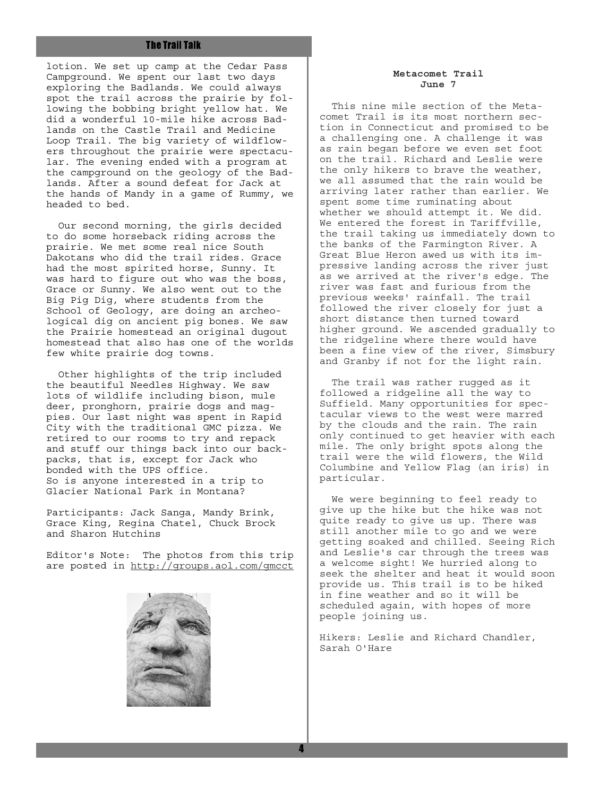lotion. We set up camp at the Cedar Pass Campground. We spent our last two days exploring the Badlands. We could always spot the trail across the prairie by following the bobbing bright yellow hat. We did a wonderful 10-mile hike across Badlands on the Castle Trail and Medicine Loop Trail. The big variety of wildflowers throughout the prairie were spectacular. The evening ended with a program at the campground on the geology of the Badlands. After a sound defeat for Jack at the hands of Mandy in a game of Rummy, we headed to bed.

 Our second morning, the girls decided to do some horseback riding across the prairie. We met some real nice South Dakotans who did the trail rides. Grace had the most spirited horse, Sunny. It was hard to figure out who was the boss, Grace or Sunny. We also went out to the Big Pig Dig, where students from the School of Geology, are doing an archeological dig on ancient pig bones. We saw the Prairie homestead an original dugout homestead that also has one of the worlds few white prairie dog towns.

 Other highlights of the trip included the beautiful Needles Highway. We saw lots of wildlife including bison, mule deer, pronghorn, prairie dogs and magpies. Our last night was spent in Rapid City with the traditional GMC pizza. We retired to our rooms to try and repack and stuff our things back into our backpacks, that is, except for Jack who bonded with the UPS office. So is anyone interested in a trip to Glacier National Park in Montana?

Participants: Jack Sanga, Mandy Brink, Grace King, Regina Chatel, Chuck Brock and Sharon Hutchins

Editor's Note: The photos from this trip are posted in http://groups.aol.com/gmcct



### **Metacomet Trail June 7**

 This nine mile section of the Metacomet Trail is its most northern section in Connecticut and promised to be a challenging one. A challenge it was as rain began before we even set foot on the trail. Richard and Leslie were the only hikers to brave the weather, we all assumed that the rain would be arriving later rather than earlier. We spent some time ruminating about whether we should attempt it. We did. We entered the forest in Tariffville, the trail taking us immediately down to the banks of the Farmington River. A Great Blue Heron awed us with its impressive landing across the river just as we arrived at the river's edge. The river was fast and furious from the previous weeks' rainfall. The trail followed the river closely for just a short distance then turned toward higher ground. We ascended gradually to the ridgeline where there would have been a fine view of the river, Simsbury and Granby if not for the light rain.

 The trail was rather rugged as it followed a ridgeline all the way to Suffield. Many opportunities for spectacular views to the west were marred by the clouds and the rain. The rain only continued to get heavier with each mile. The only bright spots along the trail were the wild flowers, the Wild Columbine and Yellow Flag (an iris) in particular.

 We were beginning to feel ready to give up the hike but the hike was not quite ready to give us up. There was still another mile to go and we were getting soaked and chilled. Seeing Rich and Leslie's car through the trees was a welcome sight! We hurried along to seek the shelter and heat it would soon provide us. This trail is to be hiked in fine weather and so it will be scheduled again, with hopes of more people joining us.

Hikers: Leslie and Richard Chandler, Sarah O'Hare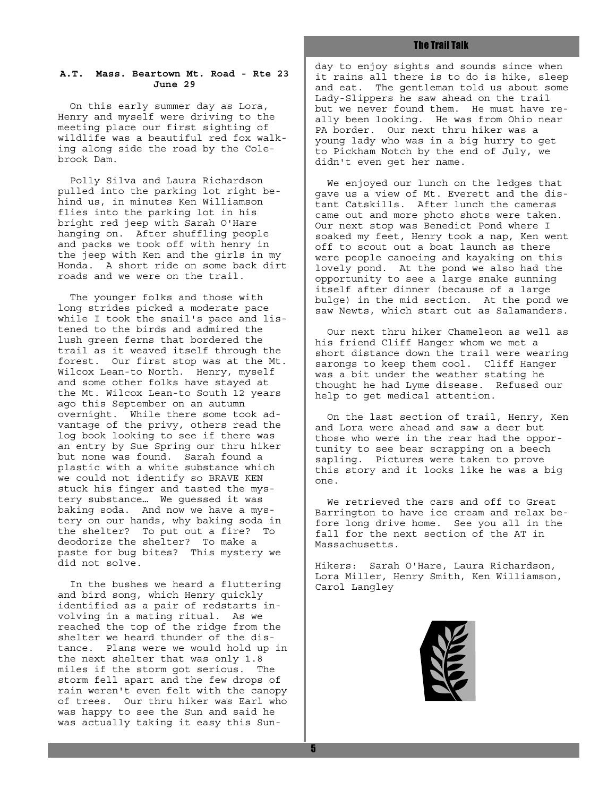### **A.T. Mass. Beartown Mt. Road - Rte 23 June 29**

 On this early summer day as Lora, Henry and myself were driving to the meeting place our first sighting of wildlife was a beautiful red fox walking along side the road by the Colebrook Dam.

 Polly Silva and Laura Richardson pulled into the parking lot right behind us, in minutes Ken Williamson flies into the parking lot in his bright red jeep with Sarah O'Hare hanging on. After shuffling people and packs we took off with henry in the jeep with Ken and the girls in my Honda. A short ride on some back dirt roads and we were on the trail.

 The younger folks and those with long strides picked a moderate pace while I took the snail's pace and listened to the birds and admired the lush green ferns that bordered the trail as it weaved itself through the forest. Our first stop was at the Mt. Wilcox Lean-to North. Henry, myself and some other folks have stayed at the Mt. Wilcox Lean-to South 12 years ago this September on an autumn overnight. While there some took advantage of the privy, others read the log book looking to see if there was an entry by Sue Spring our thru hiker but none was found. Sarah found a plastic with a white substance which we could not identify so BRAVE KEN stuck his finger and tasted the mystery substance… We guessed it was baking soda. And now we have a mystery on our hands, why baking soda in the shelter? To put out a fire? To deodorize the shelter? To make a paste for bug bites? This mystery we did not solve.

 In the bushes we heard a fluttering and bird song, which Henry quickly identified as a pair of redstarts involving in a mating ritual. As we reached the top of the ridge from the shelter we heard thunder of the distance. Plans were we would hold up in the next shelter that was only 1.8 miles if the storm got serious. The storm fell apart and the few drops of rain weren't even felt with the canopy of trees. Our thru hiker was Earl who was happy to see the Sun and said he was actually taking it easy this Sunday to enjoy sights and sounds since when it rains all there is to do is hike, sleep and eat. The gentleman told us about some Lady-Slippers he saw ahead on the trail but we never found them. He must have really been looking. He was from Ohio near PA border. Our next thru hiker was a young lady who was in a big hurry to get to Pickham Notch by the end of July, we didn't even get her name.

 We enjoyed our lunch on the ledges that gave us a view of Mt. Everett and the distant Catskills. After lunch the cameras came out and more photo shots were taken. Our next stop was Benedict Pond where I soaked my feet, Henry took a nap, Ken went off to scout out a boat launch as there were people canoeing and kayaking on this lovely pond. At the pond we also had the opportunity to see a large snake sunning itself after dinner (because of a large bulge) in the mid section. At the pond we saw Newts, which start out as Salamanders.

 Our next thru hiker Chameleon as well as his friend Cliff Hanger whom we met a short distance down the trail were wearing sarongs to keep them cool. Cliff Hanger was a bit under the weather stating he thought he had Lyme disease. Refused our help to get medical attention.

 On the last section of trail, Henry, Ken and Lora were ahead and saw a deer but those who were in the rear had the opportunity to see bear scrapping on a beech sapling. Pictures were taken to prove this story and it looks like he was a big one.

 We retrieved the cars and off to Great Barrington to have ice cream and relax before long drive home. See you all in the fall for the next section of the AT in Massachusetts.

Hikers: Sarah O'Hare, Laura Richardson, Lora Miller, Henry Smith, Ken Williamson, Carol Langley